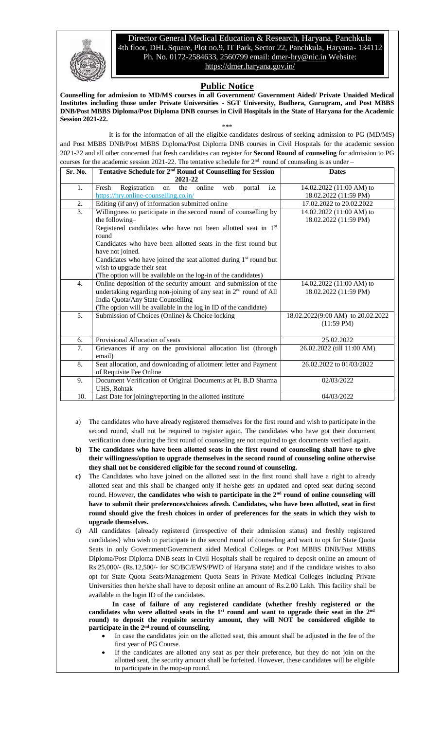

Director General Medical Education & Research, Haryana, Panchkula 4th floor, DHL Square, Plot no.9, IT Park, Sector 22, Panchkula, Haryana- 134112 Ph. No. 0172-2584633, 2560799 email: [dmer-hry@nic.in](mailto:dmer-hry@nic.in) Website: <https://dmer.haryana.gov.in/>

## **Public Notice**

**Counselling for admission to MD/MS courses in all Government/ Government Aided/ Private Unaided Medical Institutes including those under Private Universities - SGT University, Budhera, Gurugram, and Post MBBS DNB/Post MBBS Diploma/Post Diploma DNB courses in Civil Hospitals in the State of Haryana for the Academic Session 2021-22.**

\*\*\*

It is for the information of all the eligible candidates desirous of seeking admission to PG (MD/MS) and Post MBBS DNB/Post MBBS Diploma/Post Diploma DNB courses in Civil Hospitals for the academic session 2021-22 and all other concerned that fresh candidates can register for **Second Round of counseling** for admission to PG courses for the academic session 2021-22. The tentative schedule for  $2<sup>nd</sup>$  round of counseling is as under –

| Sr. No. | Tentative Schedule for 2 <sup>nd</sup> Round of Counselling for Session | <b>Dates</b>                      |
|---------|-------------------------------------------------------------------------|-----------------------------------|
|         | 2021-22                                                                 |                                   |
| 1.      | Fresh<br>Registration on<br>the<br>online<br>web<br>portal<br>i.e.      | 14.02.2022 (11:00 AM) to          |
|         | https://hry.online-counselling.co.in/                                   | 18.02.2022 (11:59 PM)             |
| 2.      | Editing (if any) of information submitted online                        | 17.02.2022 to 20.02.2022          |
| 3.      | Willingness to participate in the second round of counselling by        | $14.02.2022(11:00 AM)$ to         |
|         | the following-                                                          | 18.02.2022 (11:59 PM)             |
|         | Registered candidates who have not been allotted seat in 1st            |                                   |
|         | round                                                                   |                                   |
|         | Candidates who have been allotted seats in the first round but          |                                   |
|         | have not joined.                                                        |                                   |
|         | Candidates who have joined the seat allotted during $1st$ round but     |                                   |
|         | wish to upgrade their seat                                              |                                   |
|         | (The option will be available on the log-in of the candidates)          |                                   |
| 4.      | Online deposition of the security amount and submission of the          | 14.02.2022 (11:00 AM) to          |
|         | undertaking regarding non-joining of any seat in $2nd$ round of All     | 18.02.2022 (11:59 PM)             |
|         | India Quota/Any State Counselling                                       |                                   |
|         | (The option will be available in the log in ID of the candidate)        |                                   |
| 5.      | Submission of Choices (Online) & Choice locking                         | 18.02.2022(9:00 AM) to 20.02.2022 |
|         |                                                                         | $(11:59 \text{ PM})$              |
|         |                                                                         |                                   |
| 6.      | Provisional Allocation of seats                                         | 25.02.2022                        |
| 7.      | Grievances if any on the provisional allocation list (through           | 26.02.2022 (till 11:00 AM)        |
|         | email)                                                                  |                                   |
| 8.      | Seat allocation, and downloading of allotment letter and Payment        | 26.02.2022 to 01/03/2022          |
|         | of Requisite Fee Online                                                 |                                   |
| 9.      | Document Verification of Original Documents at Pt. B.D Sharma           | 02/03/2022                        |
|         | UHS, Rohtak                                                             |                                   |
| 10.     | Last Date for joining/reporting in the allotted institute               | 04/03/2022                        |

- a) The candidates who have already registered themselves for the first round and wish to participate in the second round, shall not be required to register again. The candidates who have got their document verification done during the first round of counseling are not required to get documents verified again.
- **b) The candidates who have been allotted seats in the first round of counseling shall have to give their willingness/option to upgrade themselves in the second round of counseling online otherwise they shall not be considered eligible for the second round of counseling.**
- **c)** The Candidates who have joined on the allotted seat in the first round shall have a right to already allotted seat and this shall be changed only if he/she gets an updated and opted seat during second round. However, **the candidates who wish to participate in the 2 nd round of online counseling will have to submit their preferences/choices afresh. Candidates, who have been allotted, seat in first round should give the fresh choices in order of preferences for the seats in which they wish to upgrade themselves.**
- d) All candidates {already registered (irrespective of their admission status) and freshly registered candidates} who wish to participate in the second round of counseling and want to opt for State Quota Seats in only Government/Government aided Medical Colleges or Post MBBS DNB/Post MBBS Diploma/Post Diploma DNB seats in Civil Hospitals shall be required to deposit online an amount of Rs.25,000/- (Rs.12,500/- for SC/BC/EWS/PWD of Haryana state) and if the candidate wishes to also opt for State Quota Seats/Management Quota Seats in Private Medical Colleges including Private Universities then he/she shall have to deposit online an amount of Rs.2.00 Lakh. This facility shall be available in the login ID of the candidates.

**In case of failure of any registered candidate (whether freshly registered or the** candidates who were allotted seats in the  $1<sup>st</sup>$  round and want to upgrade their seat in the  $2<sup>nd</sup>$ **round) to deposit the requisite security amount, they will NOT be considered eligible to participate in the 2 nd round of counseling.**

- In case the candidates join on the allotted seat, this amount shall be adjusted in the fee of the first year of PG Course.
- If the candidates are allotted any seat as per their preference, but they do not join on the allotted seat, the security amount shall be forfeited. However, these candidates will be eligible to participate in the mop-up round.